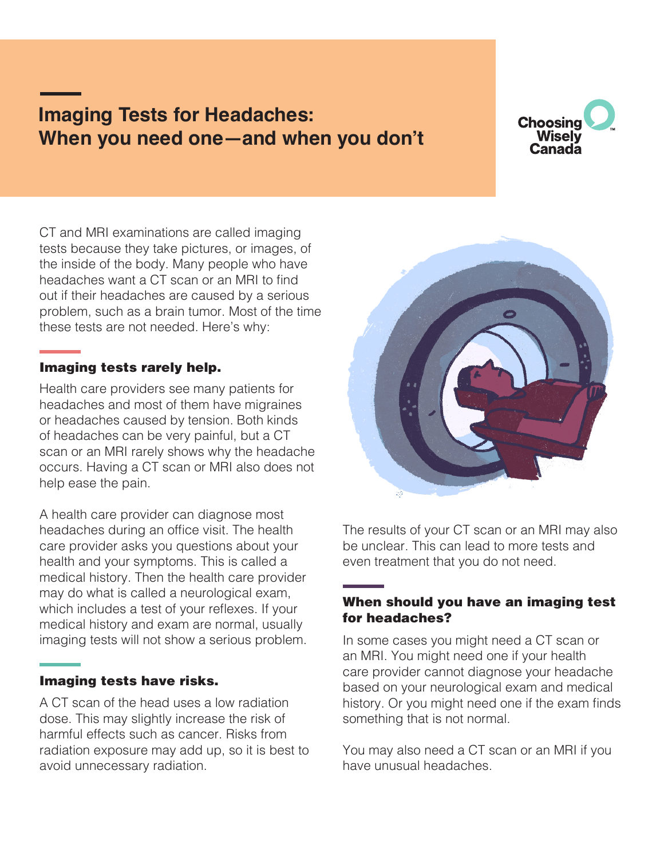# **Imaging Tests for Headaches: When you need one—and when you don't**



CT and MRI examinations are called imaging tests because they take pictures, or images, of the inside of the body. Many people who have headaches want a CT scan or an MRI to find out if their headaches are caused by a serious problem, such as a brain tumor. Most of the time these tests are not needed. Here's why:

## Imaging tests rarely help.

Health care providers see many patients for headaches and most of them have migraines or headaches caused by tension. Both kinds of headaches can be very painful, but a CT scan or an MRI rarely shows why the headache occurs. Having a CT scan or MRI also does not help ease the pain.

A health care provider can diagnose most headaches during an office visit. The health care provider asks you questions about your health and your symptoms. This is called a medical history. Then the health care provider may do what is called a neurological exam, which includes a test of your reflexes. If your medical history and exam are normal, usually imaging tests will not show a serious problem.

## Imaging tests have risks.

A CT scan of the head uses a low radiation dose. This may slightly increase the risk of harmful effects such as cancer. Risks from radiation exposure may add up, so it is best to avoid unnecessary radiation.



The results of your CT scan or an MRI may also be unclear. This can lead to more tests and even treatment that you do not need.

#### When should you have an imaging test for headaches?

In some cases you might need a CT scan or an MRI. You might need one if your health care provider cannot diagnose your headache based on your neurological exam and medical history. Or you might need one if the exam finds something that is not normal.

You may also need a CT scan or an MRI if you have unusual headaches.